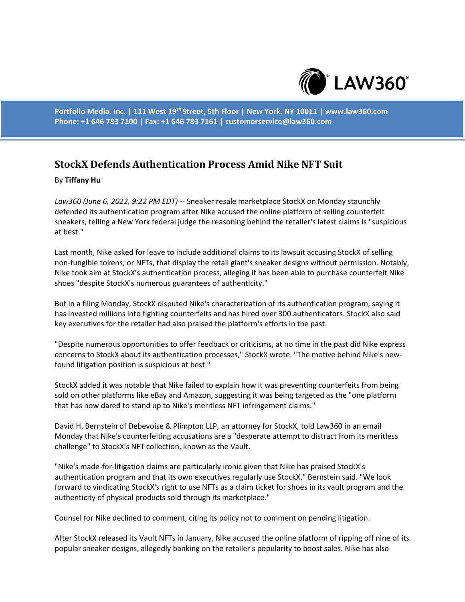

**Portfolio Media. Inc. | 111 West 19th Street, 5th Floor | New York, NY 10011 | www.law360.com Phone: +1 646 783 7100 | Fax: +1 646 783 7161 | customerservice@law360.com**

## **StockX Defends Authentication Process Amid Nike NFT Suit**

## By **Tiffany Hu**

*Law360 (June 6, 2022, 9:22 PM EDT)* -- Sneaker resale marketplace StockX on Monday staunchly defended its authentication program after Nike accused the online platform of selling counterfeit sneakers, telling a New York federal judge the reasoning behind the retailer's latest claims is "suspicious at best."

Last month, Nike asked for leave to include additional claims to its lawsuit accusing StockX of selling non-fungible tokens, or NFTs, that display the retail giant's sneaker designs without permission. Notably, Nike took aim at StockX's authentication process, alleging it has been able to purchase counterfeit Nike shoes "despite StockX's numerous guarantees of authenticity."

But in a filing Monday, StockX disputed Nike's characterization of its authentication program, saying it has invested millions into fighting counterfeits and has hired over 300 authenticators. StockX also said key executives for the retailer had also praised the platform's efforts in the past.

"Despite numerous opportunities to offer feedback or criticisms, at no time in the past did Nike express concerns to StockX about its authentication processes," StockX wrote. "The motive behind Nike's newfound litigation position is suspicious at best."

StockX added it was notable that Nike failed to explain how it was preventing counterfeits from being sold on other platforms like eBay and Amazon, suggesting it was being targeted as the "one platform that has now dared to stand up to Nike's meritless NFT infringement claims."

David H. Bernstein of Debevoise & Plimpton LLP, an attorney for StockX, told Law360 in an email Monday that Nike's counterfeiting accusations are a "desperate attempt to distract from its meritless challenge" to StockX's NFT collection, known as the Vault.

"Nike's made-for-litigation claims are particularly ironic given that Nike has praised StockX's authentication program and that its own executives regularly use StockX," Bernstein said. "We look forward to vindicating StockX's right to use NFTs as a claim ticket for shoes in its vault program and the authenticity of physical products sold through its marketplace."

Counsel for Nike declined to comment, citing its policy not to comment on pending litigation.

After StockX released its Vault NFTs in January, Nike accused the online platform of ripping off nine of its popular sneaker designs, allegedly banking on the retailer's popularity to boost sales. Nike has also